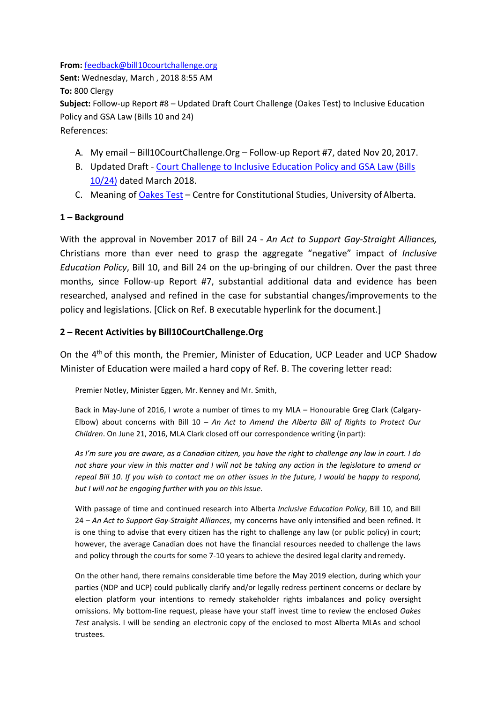**From:** [feedback@bill10courtchallenge.org](mailto:feedback@bill10courtchallenge.org) **Sent:** Wednesday, March , 2018 8:55 AM **To:** 800 Clergy **Subject:** Follow-up Report #8 – Updated Draft Court Challenge (Oakes Test) to Inclusive Education Policy and GSA Law (Bills 10 and 24) References:

- A. My email Bill10CourtChallenge.Org Follow-up Report #7, dated Nov 20, 2017.
- B. Updated Draft [Court Challenge to Inclusive Education Policy and GSA Law \(Bills](https://bill10courtchallengeorg.files.wordpress.com/2020/05/mar-2018-analysis.pdf)  [10/24\)](https://bill10courtchallengeorg.files.wordpress.com/2020/05/mar-2018-analysis.pdf) dated March 2018.
- C. Meaning of [Oakes Test](https://ualawccsprod.srv.ualberta.ca/2019/07/oakes-test/) Centre for Constitutional Studies, University of Alberta.

## **1 – Background**

With the approval in November 2017 of Bill 24 - *An Act to Support Gay-Straight Alliances,*  Christians more than ever need to grasp the aggregate "negative" impact of *Inclusive Education Policy*, Bill 10, and Bill 24 on the up-bringing of our children. Over the past three months, since Follow-up Report #7, substantial additional data and evidence has been researched, analysed and refined in the case for substantial changes/improvements to the policy and legislations. [Click on Ref. B executable hyperlink for the document.]

## **2 – Recent Activities by Bill10CourtChallenge.Org**

On the 4th of this month, the Premier, Minister of Education, UCP Leader and UCP Shadow Minister of Education were mailed a hard copy of Ref. B. The covering letter read:

Premier Notley, Minister Eggen, Mr. Kenney and Mr. Smith,

Back in May-June of 2016, I wrote a number of times to my MLA – Honourable Greg Clark (Calgary-Elbow) about concerns with Bill 10 – *An Act to Amend the Alberta Bill of Rights to Protect Our Children*. On June 21, 2016, MLA Clark closed off our correspondence writing (inpart):

*As I'm sure you are aware, as a Canadian citizen, you have the right to challenge any law in court. I do not share your view in this matter and I will not be taking any action in the legislature to amend or repeal Bill 10. If you wish to contact me on other issues in the future, I would be happy to respond, but I will not be engaging further with you on this issue.*

With passage of time and continued research into Alberta *Inclusive Education Policy*, Bill 10, and Bill 24 – *An Act to Support Gay-Straight Alliances*, my concerns have only intensified and been refined. It is one thing to advise that every citizen has the right to challenge any law (or public policy) in court; however, the average Canadian does not have the financial resources needed to challenge the laws and policy through the courts for some 7-10 years to achieve the desired legal clarity andremedy.

On the other hand, there remains considerable time before the May 2019 election, during which your parties (NDP and UCP) could publically clarify and/or legally redress pertinent concerns or declare by election platform your intentions to remedy stakeholder rights imbalances and policy oversight omissions. My bottom-line request, please have your staff invest time to review the enclosed *Oakes Test* analysis. I will be sending an electronic copy of the enclosed to most Alberta MLAs and school trustees.